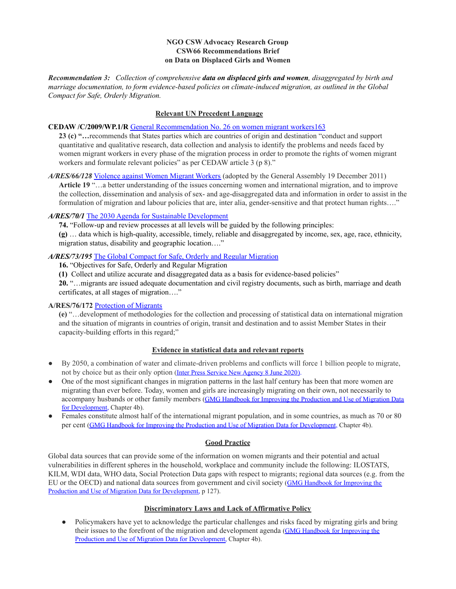## **NGO CSW Advocacy Research Group CSW66 Recommendations Brief on Data on Displaced Girls and Women**

*Recommendation 3: Collection of comprehensive data on displaced girls and women, disaggregated by birth and marriage documentation, to form evidence-based policies on climate-induced migration, as outlined in the Global Compact for Safe, Orderly Migration.*

# **Relevant UN Precedent Language**

#### **CEDAW /C/2009/WP.1/R** General [Recommendation](https://www2.ohchr.org/english/bodies/cedaw/docs/GR_26_on_women_migrant_workers_en.pdf) No. 26 on women migrant workers163

**23 (c) "…**recommends that States parties which are countries of origin and destination "conduct and support quantitative and qualitative research, data collection and analysis to identify the problems and needs faced by women migrant workers in every phase of the migration process in order to promote the rights of women migrant workers and formulate relevant policies" as per CEDAW article 3 (p 8)."

*A/RES/66/128* [Violence](https://www.un.org/en/development/desa/population/migration/generalassembly/docs/globalcompact/A_RES_66_128.pdf) against Women Migrant Workers (adopted by the General Assembly 19 December 2011) **Article 19** "…a better understanding of the issues concerning women and international migration, and to improve the collection, dissemination and analysis of sex- and age-disaggregated data and information in order to assist in the formulation of migration and labour policies that are, inter alia, gender-sensitive and that protect human rights…."

## *A/RES/70/1* The 2030 Agenda for Sustainable [Development](https://sustainabledevelopment.un.org/content/documents/21252030%20Agenda%20for%20Sustainable%20Development%20web.pdf)

**74.** "Follow-up and review processes at all levels will be guided by the following principles:

**(g)** … data which is high-quality, accessible, timely, reliable and disaggregated by income, sex, age, race, ethnicity, migration status, disability and geographic location…."

#### *A/RES/73/195* The Global Compact for Safe, Orderly and Regular [Migration](https://documents-dds-ny.un.org/doc/UNDOC/GEN/N18/451/99/PDF/N1845199.pdf?OpenElement)

**16.** "Objectives for Safe, Orderly and Regular Migration

**(1)** Collect and utilize accurate and disaggregated data as a basis for evidence-based policies"

**20.** "…migrants are issued adequate documentation and civil registry documents, such as birth, marriage and death certificates, at all stages of migration…."

## **A/RES/76/172** [Protection](https://documents-dds-ny.un.org/doc/UNDOC/GEN/N21/403/32/PDF/N2140332.pdf?OpenElement) of Migrants

**(e)** "…development of methodologies for the collection and processing of statistical data on international migration and the situation of migrants in countries of origin, transit and destination and to assist Member States in their capacity-building efforts in this regard;"

## **Evidence in statistical data and relevant reports**

- By 2050, a combination of water and climate-driven problems and conflicts will force 1 billion people to migrate, not by choice but as their only option (Inter Press [Service New Agency 8 June 2020](https://www.ipsnews.net/2020/06/water-climate-conflict-migration-coping-1-billion-people-move-2050/)).
- One of the most significant changes in migration patterns in the last half century has been that more women are migrating than ever before. Today, women and girls are increasingly migrating on their own, not necessarily to accompany husbands or other family members (GMG Handbook [for Improving the Production and Use of Migration Data](https://www.un.org/development/desa/pd/sites/www.un.org.development.desa.pd/files/unpd_cm15_201702_final_handbook_30.06.16_as4_0_0.pdf) [for Development](https://www.un.org/development/desa/pd/sites/www.un.org.development.desa.pd/files/unpd_cm15_201702_final_handbook_30.06.16_as4_0_0.pdf), Chapter 4b).
- Females constitute almost half of the international migrant population, and in some countries, as much as 70 or 80 per cent [\(GMG Handbook for Improving the Production](https://www.un.org/development/desa/pd/sites/www.un.org.development.desa.pd/files/unpd_cm15_201702_final_handbook_30.06.16_as4_0_0.pdf) and Use of Migration Data for Development, Chapter 4b).

## **Good Practice**

Global data sources that can provide some of the information on women migrants and their potential and actual vulnerabilities in different spheres in the household, workplace and community include the following: ILOSTATS, KILM, WDI data, WHO data, Social Protection Data gaps with respect to migrants; regional data sources (e.g. from the EU or the OECD) and national data sources from government and civil society ([GMG Handbook for Improving the](https://www.un.org/development/desa/pd/sites/www.un.org.development.desa.pd/files/unpd_cm15_201702_final_handbook_30.06.16_as4_0_0.pdf) [Production and Use of Migration Data for Development,](https://www.un.org/development/desa/pd/sites/www.un.org.development.desa.pd/files/unpd_cm15_201702_final_handbook_30.06.16_as4_0_0.pdf) p 127).

## **Discriminatory Laws and Lack of Affirmative Policy**

● Policymakers have yet to acknowledge the particular challenges and risks faced by migrating girls and bring their issues to the forefront of the migration and development agenda ([GMG Handbook for Improving the](https://www.un.org/development/desa/pd/sites/www.un.org.development.desa.pd/files/unpd_cm15_201702_final_handbook_30.06.16_as4_0_0.pdf) [Production and Use of Migration Data for Development,](https://www.un.org/development/desa/pd/sites/www.un.org.development.desa.pd/files/unpd_cm15_201702_final_handbook_30.06.16_as4_0_0.pdf) Chapter 4b).